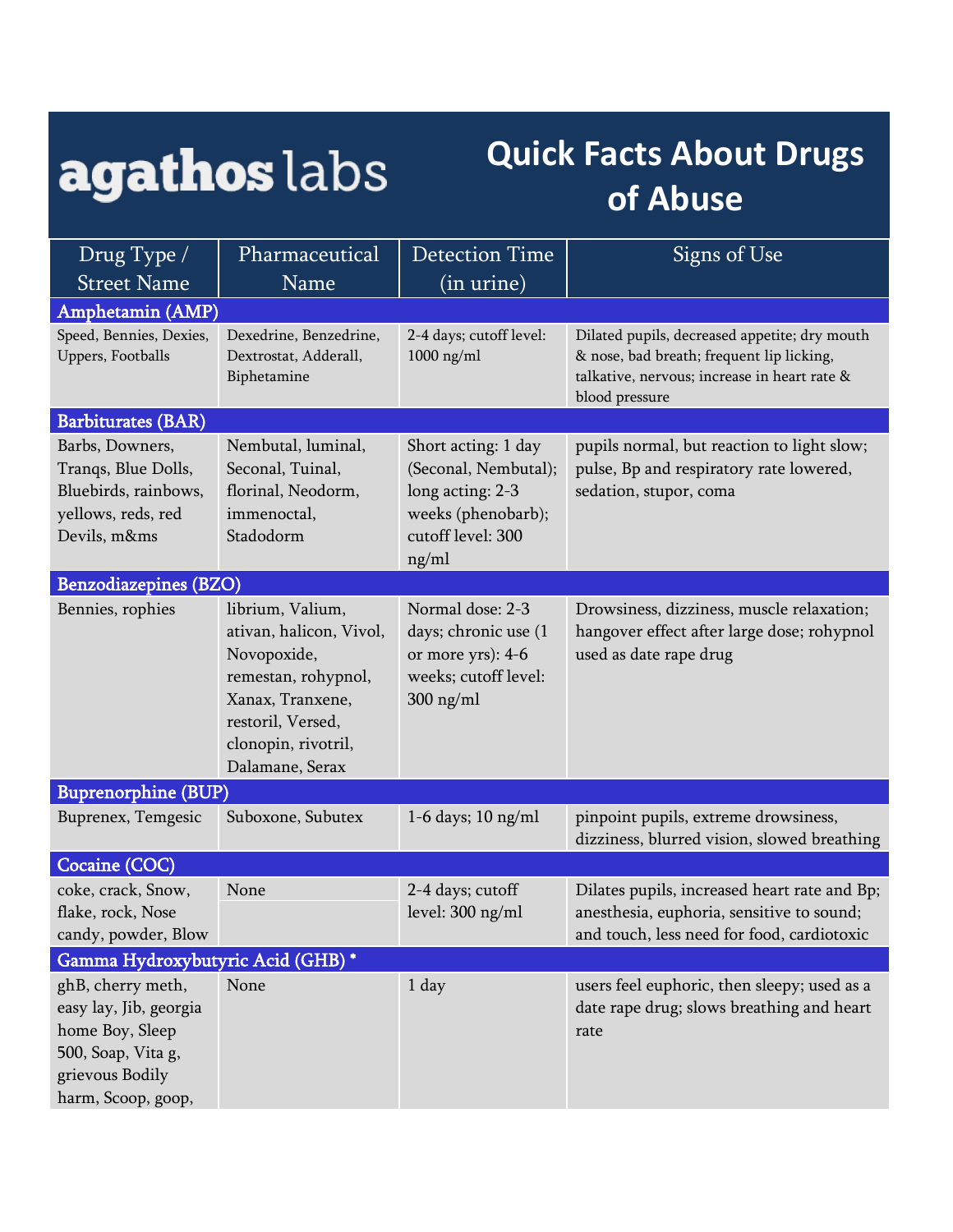## agathos labs

## **Quick Facts About Drugs of Abuse**

| Drug Type /                                                                                                                   | Pharmaceutical                                                                                                                                                       | <b>Detection Time</b>                                                                                               | Signs of Use                                                                                                                                                 |  |  |  |
|-------------------------------------------------------------------------------------------------------------------------------|----------------------------------------------------------------------------------------------------------------------------------------------------------------------|---------------------------------------------------------------------------------------------------------------------|--------------------------------------------------------------------------------------------------------------------------------------------------------------|--|--|--|
| <b>Street Name</b>                                                                                                            | Name                                                                                                                                                                 | (in urine)                                                                                                          |                                                                                                                                                              |  |  |  |
| Amphetamin (AMP)                                                                                                              |                                                                                                                                                                      |                                                                                                                     |                                                                                                                                                              |  |  |  |
| Speed, Bennies, Dexies,<br>Uppers, Footballs                                                                                  | Dexedrine, Benzedrine,<br>Dextrostat, Adderall,<br>Biphetamine                                                                                                       | 2-4 days; cutoff level:<br>$1000$ ng/ml                                                                             | Dilated pupils, decreased appetite; dry mouth<br>& nose, bad breath; frequent lip licking,<br>talkative, nervous; increase in heart rate &<br>blood pressure |  |  |  |
| <b>Barbiturates (BAR)</b>                                                                                                     |                                                                                                                                                                      |                                                                                                                     |                                                                                                                                                              |  |  |  |
| Barbs, Downers,<br>Tranqs, Blue Dolls,<br>Bluebirds, rainbows,<br>yellows, reds, red<br>Devils, m&ms                          | Nembutal, luminal,<br>Seconal, Tuinal,<br>florinal, Neodorm,<br>immenoctal,<br>Stadodorm                                                                             | Short acting: 1 day<br>(Seconal, Nembutal);<br>long acting: 2-3<br>weeks (phenobarb);<br>cutoff level: 300<br>ng/ml | pupils normal, but reaction to light slow;<br>pulse, Bp and respiratory rate lowered,<br>sedation, stupor, coma                                              |  |  |  |
| <b>Benzodiazepines (BZO)</b>                                                                                                  |                                                                                                                                                                      |                                                                                                                     |                                                                                                                                                              |  |  |  |
| Bennies, rophies                                                                                                              | librium, Valium,<br>ativan, halicon, Vivol,<br>Novopoxide,<br>remestan, rohypnol,<br>Xanax, Tranxene,<br>restoril, Versed,<br>clonopin, rivotril,<br>Dalamane, Serax | Normal dose: 2-3<br>days; chronic use (1<br>or more yrs): 4-6<br>weeks; cutoff level:<br>$300$ ng/ml                | Drowsiness, dizziness, muscle relaxation;<br>hangover effect after large dose; rohypnol<br>used as date rape drug                                            |  |  |  |
| <b>Buprenorphine (BUP)</b>                                                                                                    |                                                                                                                                                                      |                                                                                                                     |                                                                                                                                                              |  |  |  |
| Buprenex, Temgesic                                                                                                            | Suboxone, Subutex                                                                                                                                                    | 1-6 days; $10$ ng/ml                                                                                                | pinpoint pupils, extreme drowsiness,<br>dizziness, blurred vision, slowed breathing                                                                          |  |  |  |
| Cocaine (COC)                                                                                                                 |                                                                                                                                                                      |                                                                                                                     |                                                                                                                                                              |  |  |  |
| coke, crack, Snow,<br>flake, rock, Nose<br>candy, powder, Blow                                                                | None                                                                                                                                                                 | 2-4 days; cutoff<br>level: 300 ng/ml                                                                                | Dilates pupils, increased heart rate and Bp;<br>anesthesia, euphoria, sensitive to sound;<br>and touch, less need for food, cardiotoxic                      |  |  |  |
| Gamma Hydroxybutyric Acid (GHB)*                                                                                              |                                                                                                                                                                      |                                                                                                                     |                                                                                                                                                              |  |  |  |
| ghB, cherry meth,<br>easy lay, Jib, georgia<br>home Boy, Sleep<br>500, Soap, Vita g,<br>grievous Bodily<br>harm, Scoop, goop, | None                                                                                                                                                                 | 1 day                                                                                                               | users feel euphoric, then sleepy; used as a<br>date rape drug; slows breathing and heart<br>rate                                                             |  |  |  |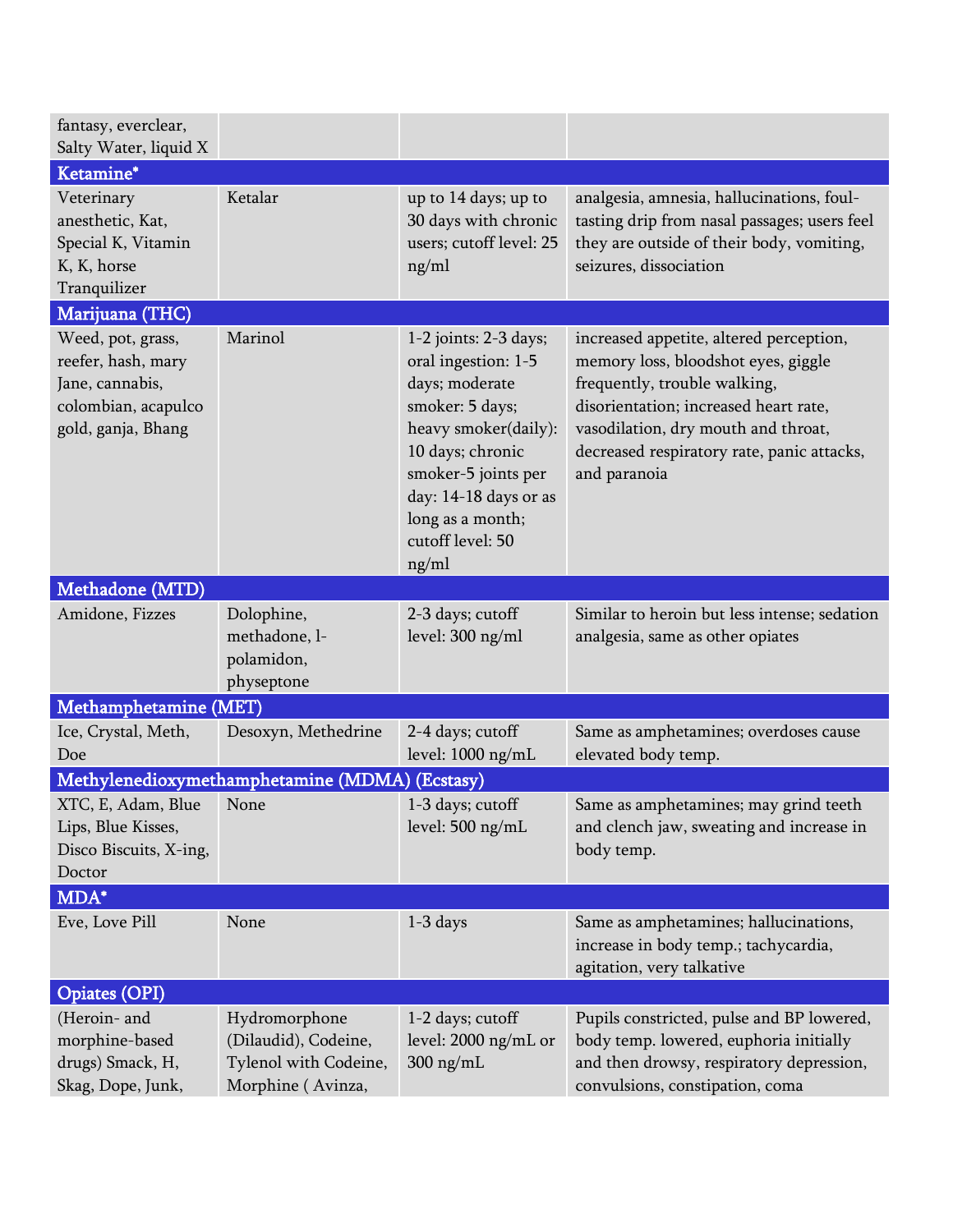| fantasy, everclear,<br>Salty Water, liquid X                                                            |                                                                                     |                                                                                                                                                                                                                                |                                                                                                                                                                                                                                                              |
|---------------------------------------------------------------------------------------------------------|-------------------------------------------------------------------------------------|--------------------------------------------------------------------------------------------------------------------------------------------------------------------------------------------------------------------------------|--------------------------------------------------------------------------------------------------------------------------------------------------------------------------------------------------------------------------------------------------------------|
| Ketamine*                                                                                               |                                                                                     |                                                                                                                                                                                                                                |                                                                                                                                                                                                                                                              |
| Veterinary<br>anesthetic, Kat,<br>Special K, Vitamin<br>K, K, horse<br>Tranquilizer                     | Ketalar                                                                             | up to 14 days; up to<br>30 days with chronic<br>users; cutoff level: 25<br>ng/ml                                                                                                                                               | analgesia, amnesia, hallucinations, foul-<br>tasting drip from nasal passages; users feel<br>they are outside of their body, vomiting,<br>seizures, dissociation                                                                                             |
| Marijuana (THC)                                                                                         |                                                                                     |                                                                                                                                                                                                                                |                                                                                                                                                                                                                                                              |
| Weed, pot, grass,<br>reefer, hash, mary<br>Jane, cannabis,<br>colombian, acapulco<br>gold, ganja, Bhang | Marinol                                                                             | 1-2 joints: 2-3 days;<br>oral ingestion: 1-5<br>days; moderate<br>smoker: 5 days;<br>heavy smoker(daily):<br>10 days; chronic<br>smoker-5 joints per<br>day: 14-18 days or as<br>long as a month;<br>cutoff level: 50<br>ng/ml | increased appetite, altered perception,<br>memory loss, bloodshot eyes, giggle<br>frequently, trouble walking,<br>disorientation; increased heart rate,<br>vasodilation, dry mouth and throat,<br>decreased respiratory rate, panic attacks,<br>and paranoia |
| Methadone (MTD)                                                                                         |                                                                                     |                                                                                                                                                                                                                                |                                                                                                                                                                                                                                                              |
| Amidone, Fizzes                                                                                         | Dolophine,<br>methadone, l-<br>polamidon,<br>physeptone                             | 2-3 days; cutoff<br>level: 300 ng/ml                                                                                                                                                                                           | Similar to heroin but less intense; sedation<br>analgesia, same as other opiates                                                                                                                                                                             |
| Methamphetamine (MET)                                                                                   |                                                                                     |                                                                                                                                                                                                                                |                                                                                                                                                                                                                                                              |
| Ice, Crystal, Meth,<br>Doe                                                                              | Desoxyn, Methedrine                                                                 | 2-4 days; cutoff<br>level: 1000 ng/mL                                                                                                                                                                                          | Same as amphetamines; overdoses cause<br>elevated body temp.                                                                                                                                                                                                 |
|                                                                                                         | Methylenedioxymethamphetamine (MDMA) (Ecstasy)                                      |                                                                                                                                                                                                                                |                                                                                                                                                                                                                                                              |
| XTC, E, Adam, Blue<br>Lips, Blue Kisses,<br>Disco Biscuits, X-ing,<br>Doctor                            | None                                                                                | 1-3 days; cutoff<br>level: 500 ng/mL                                                                                                                                                                                           | Same as amphetamines; may grind teeth<br>and clench jaw, sweating and increase in<br>body temp.                                                                                                                                                              |
| MDA*                                                                                                    |                                                                                     |                                                                                                                                                                                                                                |                                                                                                                                                                                                                                                              |
| Eve, Love Pill                                                                                          | None                                                                                | $1-3$ days                                                                                                                                                                                                                     | Same as amphetamines; hallucinations,<br>increase in body temp.; tachycardia,<br>agitation, very talkative                                                                                                                                                   |
| <b>Opiates (OPI)</b>                                                                                    |                                                                                     |                                                                                                                                                                                                                                |                                                                                                                                                                                                                                                              |
| (Heroin- and<br>morphine-based<br>drugs) Smack, H,<br>Skag, Dope, Junk,                                 | Hydromorphone<br>(Dilaudid), Codeine,<br>Tylenol with Codeine,<br>Morphine (Avinza, | 1-2 days; cutoff<br>level: 2000 ng/mL or<br>$300$ ng/mL                                                                                                                                                                        | Pupils constricted, pulse and BP lowered,<br>body temp. lowered, euphoria initially<br>and then drowsy, respiratory depression,<br>convulsions, constipation, coma                                                                                           |